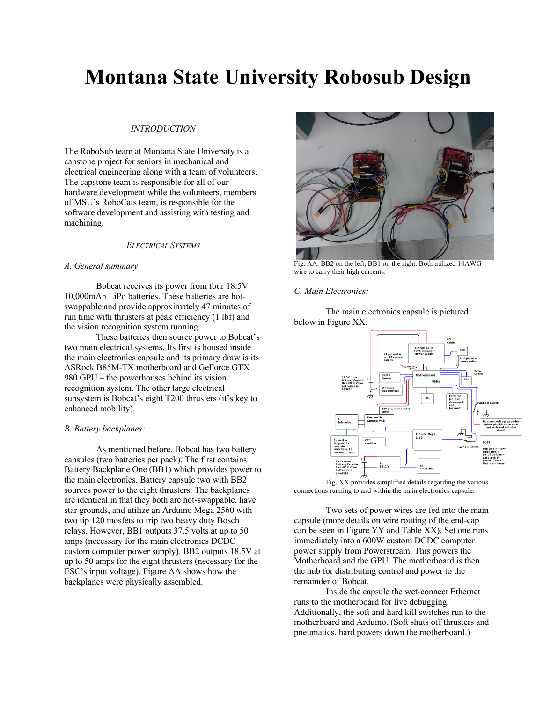# **Montana State University Robosub Design**

## *INTRODUCTION*

The RoboSub team at Montana State University is a capstone project for seniors in mechanical and electrical engineering along with a team of volunteers. The capstone team is responsible for all of our hardware development while the volunteers, members of MSU's RoboCats team, is responsible for the software development and assisting with testing and machining.

## *ELECTRICAL SYSTEMS*

## *A. General summary*

Bobcat receives its power from four 18.5V 10,000mAh LiPo batteries. These batteries are hotswappable and provide approximately 47 minutes of run time with thrusters at peak efficiency (1 lbf) and the vision recognition system running.

These batteries then source power to Bobcat's two main electrical systems. Its first is housed inside the main electronics capsule and its primary draw is its ASRock B85M-TX motherboard and GeForce GTX 980 GPU – the powerhouses behind its vision recognition system. The other large electrical subsystem is Bobcat's eight T200 thrusters (it's key to enhanced mobility).

# *B. Battery backplanes:*

As mentioned before, Bobcat has two battery capsules (two batteries per pack). The first contains Battery Backplane One (BB1) which provides power to the main electronics. Battery capsule two with BB2 sources power to the eight thrusters. The backplanes are identical in that they both are hot-swappable, have star grounds, and utilize an Arduino Mega 2560 with two tip 120 mosfets to trip two heavy duty Bosch relays. However, BB1 outputs 37.5 volts at up to 50 amps (necessary for the main electronics DCDC custom computer power supply). BB2 outputs 18.5V at up to 50 amps for the eight thrusters (necessary for the ESC's input voltage). Figure AA shows how the backplanes were physically assembled.



Fig. AA. BB2 on the left, BB1 on the right. Both utilized 10AWG wire to carry their high currents.

#### *C. Main Electronics:*

The main electronics capsule is pictured below in Figure XX.



Fig. XX provides simplified details regarding the various connections running to and within the main electronics capsule.

Two sets of power wires are fed into the main capsule (more details on wire routing of the end-cap can be seen in Figure YY and Table XX). Set one runs immediately into a 600W custom DCDC computer power supply from Powerstream. This powers the Motherboard and the GPU. The motherboard is then the hub for distributing control and power to the remainder of Bobcat.

Inside the capsule the wet-connect Ethernet runs to the motherboard for live debugging. Additionally, the soft and hard kill switches run to the motherboard and Arduino. (Soft shuts off thrusters and pneumatics, hard powers down the motherboard.)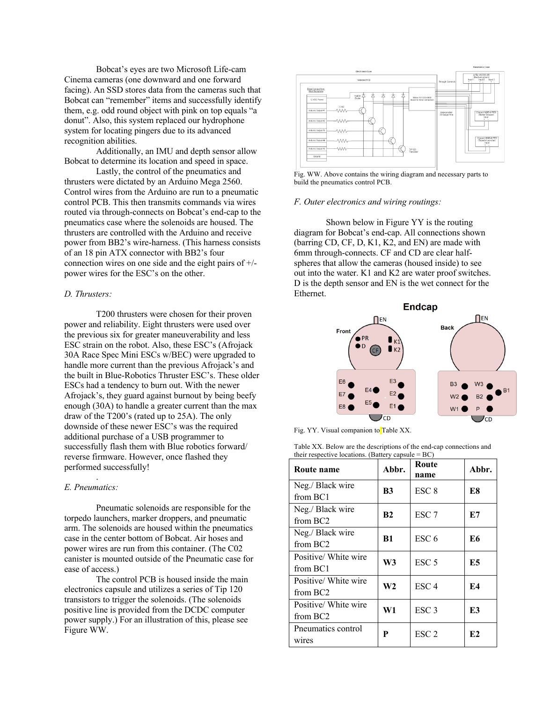Bobcat's eyes are two Microsoft Life-cam Cinema cameras (one downward and one forward facing). An SSD stores data from the cameras such that Bobcat can "remember" items and successfully identify them, e.g. odd round object with pink on top equals "a donut". Also, this system replaced our hydrophone system for locating pingers due to its advanced recognition abilities.

Additionally, an IMU and depth sensor allow Bobcat to determine its location and speed in space.

Lastly, the control of the pneumatics and thrusters were dictated by an Arduino Mega 2560. Control wires from the Arduino are run to a pneumatic control PCB. This then transmits commands via wires routed via through-connects on Bobcat's end-cap to the pneumatics case where the solenoids are housed. The thrusters are controlled with the Arduino and receive power from BB2's wire-harness. (This harness consists of an 18 pin ATX connector with BB2's four connection wires on one side and the eight pairs of +/ power wires for the ESC's on the other.

# *D. Thrusters:*

T200 thrusters were chosen for their proven power and reliability. Eight thrusters were used over the previous six for greater maneuverability and less ESC strain on the robot. Also, these ESC's (Afrojack 30A Race Spec Mini ESCs w/BEC) were upgraded to handle more current than the previous Afrojack's and the built in Blue-Robotics Thruster ESC's. These older ESCs had a tendency to burn out. With the newer Afrojack's, they guard against burnout by being beefy enough (30A) to handle a greater current than the max draw of the T200's (rated up to 25A). The only downside of these newer ESC's was the required additional purchase of a USB programmer to successfully flash them with Blue robotics forward/ reverse firmware. However, once flashed they performed successfully!

## *E. Pneumatics:*

.

Pneumatic solenoids are responsible for the torpedo launchers, marker droppers, and pneumatic arm. The solenoids are housed within the pneumatics case in the center bottom of Bobcat. Air hoses and power wires are run from this container. (The C02 canister is mounted outside of the Pneumatic case for ease of access.)

The control PCB is housed inside the main electronics capsule and utilizes a series of Tip 120 transistors to trigger the solenoids. (The solenoids positive line is provided from the DCDC computer power supply.) For an illustration of this, please see Figure WW.



Fig. WW. Above contains the wiring diagram and necessary parts to build the pneumatics control PCB.

## *F. Outer electronics and wiring routings:*

Shown below in Figure YY is the routing diagram for Bobcat's end-cap. All connections shown (barring CD, CF, D, K1, K2, and EN) are made with 6mm through-connects. CF and CD are clear halfspheres that allow the cameras (housed inside) to see out into the water. K1 and K2 are water proof switches. D is the depth sensor and EN is the wet connect for the Ethernet.



Fig. YY. Visual companion to Table XX.

Table XX. Below are the descriptions of the end-cap connections and their respective locations. (Battery capsule = BC)

| Route name                                   | Abbr.          | Route<br>name    | Abbr.      |
|----------------------------------------------|----------------|------------------|------------|
| Neg./ Black wire<br>from BC1                 | B <sub>3</sub> | ESC <sub>8</sub> | E8         |
| Neg./ Black wire<br>from BC <sub>2</sub>     | B <sub>2</sub> | ESC <sub>7</sub> | E7         |
| Neg./ Black wire<br>from BC <sub>2</sub>     | B1             | ESC <sub>6</sub> | E6         |
| Positive/ White wire<br>from BC1             | W3             | ESC <sub>5</sub> | E5         |
| Positive/ White wire<br>from BC <sub>2</sub> | W2             | ESC <sub>4</sub> | <b>F.4</b> |
| Positive/ White wire<br>from BC <sub>2</sub> | W1             | ESC <sub>3</sub> | E3         |
| Pneumatics control<br>wires                  | P              | ESC <sub>2</sub> | E2         |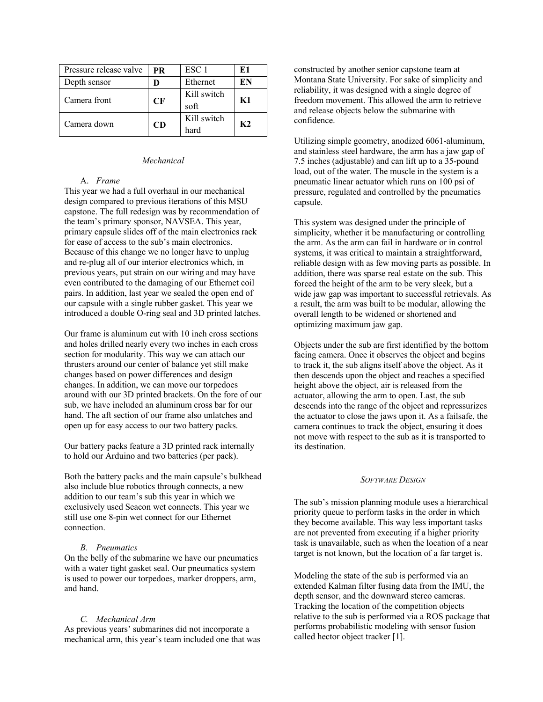| Pressure release valve | <b>PR</b> | ESC <sub>1</sub> | E1 |
|------------------------|-----------|------------------|----|
| Depth sensor           |           | Ethernet         | EN |
| Camera front           | CF        | Kill switch      | K1 |
|                        |           | soft             |    |
| Camera down            | CD        | Kill switch      | K2 |
|                        |           | hard             |    |

## *Mechanical*

## A. *Frame*

This year we had a full overhaul in our mechanical design compared to previous iterations of this MSU capstone. The full redesign was by recommendation of the team's primary sponsor, NAVSEA. This year, primary capsule slides off of the main electronics rack for ease of access to the sub's main electronics. Because of this change we no longer have to unplug and re-plug all of our interior electronics which, in previous years, put strain on our wiring and may have even contributed to the damaging of our Ethernet coil pairs. In addition, last year we sealed the open end of our capsule with a single rubber gasket. This year we introduced a double O-ring seal and 3D printed latches.

Our frame is aluminum cut with 10 inch cross sections and holes drilled nearly every two inches in each cross section for modularity. This way we can attach our thrusters around our center of balance yet still make changes based on power differences and design changes. In addition, we can move our torpedoes around with our 3D printed brackets. On the fore of our sub, we have included an aluminum cross bar for our hand. The aft section of our frame also unlatches and open up for easy access to our two battery packs.

Our battery packs feature a 3D printed rack internally to hold our Arduino and two batteries (per pack).

Both the battery packs and the main capsule's bulkhead also include blue robotics through connects, a new addition to our team's sub this year in which we exclusively used Seacon wet connects. This year we still use one 8-pin wet connect for our Ethernet connection.

## *B. Pneumatics*

On the belly of the submarine we have our pneumatics with a water tight gasket seal. Our pneumatics system is used to power our torpedoes, marker droppers, arm, and hand.

## *C. Mechanical Arm*

As previous years' submarines did not incorporate a mechanical arm, this year's team included one that was constructed by another senior capstone team at Montana State University. For sake of simplicity and reliability, it was designed with a single degree of freedom movement. This allowed the arm to retrieve and release objects below the submarine with confidence.

Utilizing simple geometry, anodized 6061-aluminum, and stainless steel hardware, the arm has a jaw gap of 7.5 inches (adjustable) and can lift up to a 35-pound load, out of the water. The muscle in the system is a pneumatic linear actuator which runs on 100 psi of pressure, regulated and controlled by the pneumatics capsule.

This system was designed under the principle of simplicity, whether it be manufacturing or controlling the arm. As the arm can fail in hardware or in control systems, it was critical to maintain a straightforward, reliable design with as few moving parts as possible. In addition, there was sparse real estate on the sub. This forced the height of the arm to be very sleek, but a wide jaw gap was important to successful retrievals. As a result, the arm was built to be modular, allowing the overall length to be widened or shortened and optimizing maximum jaw gap.

Objects under the sub are first identified by the bottom facing camera. Once it observes the object and begins to track it, the sub aligns itself above the object. As it then descends upon the object and reaches a specified height above the object, air is released from the actuator, allowing the arm to open. Last, the sub descends into the range of the object and repressurizes the actuator to close the jaws upon it. As a failsafe, the camera continues to track the object, ensuring it does not move with respect to the sub as it is transported to its destination.

## *SOFTWARE DESIGN*

The sub's mission planning module uses a hierarchical priority queue to perform tasks in the order in which they become available. This way less important tasks are not prevented from executing if a higher priority task is unavailable, such as when the location of a near target is not known, but the location of a far target is.

Modeling the state of the sub is performed via an extended Kalman filter fusing data from the IMU, the depth sensor, and the downward stereo cameras. Tracking the location of the competition objects relative to the sub is performed via a ROS package that performs probabilistic modeling with sensor fusion called hector object tracker [1].